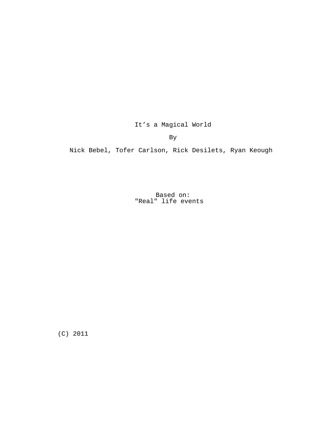It's a Magical World

By

Nick Bebel, Tofer Carlson, Rick Desilets, Ryan Keough

Based on: "Real" life events

(C) 2011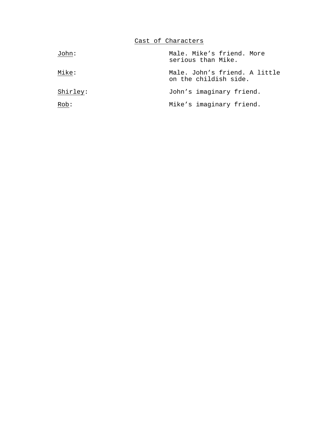Cast of Characters

| John:    | Male. Mike's friend. More<br>serious than Mike.        |
|----------|--------------------------------------------------------|
| Mike:    | Male. John's friend. A little<br>on the childish side. |
| Shirley: | John's imaginary friend.                               |
| Rob:     | Mike's imaginary friend.                               |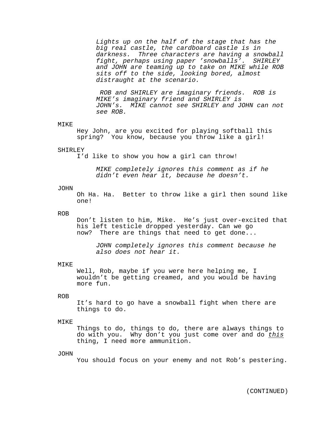Lights up on the half of the stage that has the big real castle, the cardboard castle is in darkness. Three characters are having a snowball fight, perhaps using paper 'snowballs'. SHIRLEY and JOHN are teaming up to take on MIKE while ROB sits off to the side, looking bored, almost distraught at the scenario.

ROB and SHIRLEY are imaginary friends. ROB is MIKE's imaginary friend and SHIRLEY is JOHN's. MIKE cannot see SHIRLEY and JOHN can not see ROB.

#### MIKE

Hey John, are you excited for playing softball this spring? You know, because you throw like a girl!

#### SHIRLEY

I'd like to show you how a girl can throw!

MIKE completely ignores this comment as if he didn't even hear it, because he doesn't.

#### JOHN

Oh Ha. Ha. Better to throw like a girl then sound like one!

# ROB

Don't listen to him, Mike. He's just over-excited that his left testicle dropped yesterday. Can we go now? There are things that need to get done...

JOHN completely ignores this comment because he also does not hear it.

#### MIKE

Well, Rob, maybe if you were here helping me, I wouldn't be getting creamed, and you would be having more fun.

# ROB

It's hard to go have a snowball fight when there are things to do.

# MIKE

Things to do, things to do, there are always things to do with you. Why don't you just come over and do this thing, I need more ammunition.

## JOHN

You should focus on your enemy and not Rob's pestering.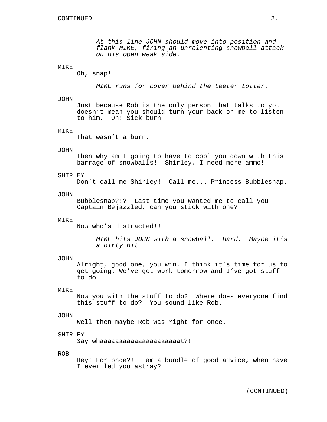At this line JOHN should move into position and flank MIKE, firing an unrelenting snowball attack on his open weak side.

## MIKE

Oh, snap!

MIKE runs for cover behind the teeter totter.

# JOHN

Just because Rob is the only person that talks to you doesn't mean you should turn your back on me to listen to him. Oh! Sick burn!

#### MIKE

That wasn't a burn.

## JOHN

Then why am I going to have to cool you down with this barrage of snowballs! Shirley, I need more ammo!

#### SHIRLEY

Don't call me Shirley! Call me... Princess Bubblesnap.

## **JOHN**

Bubblesnap?!? Last time you wanted me to call you Captain Bejazzled, can you stick with one?

#### MIKE

Now who's distracted!!!

MIKE hits JOHN with a snowball. Hard. Maybe it's a dirty hit.

## JOHN

Alright, good one, you win. I think it's time for us to get going. We've got work tomorrow and I've got stuff to do.

# **MTKE**

Now you with the stuff to do? Where does everyone find this stuff to do? You sound like Rob.

#### JOHN

Well then maybe Rob was right for once.

#### SHIRLEY

Say whaaaaaaaaaaaaaaaaaaaaat?!

## ROB

Hey! For once?! I am a bundle of good advice, when have I ever led you astray?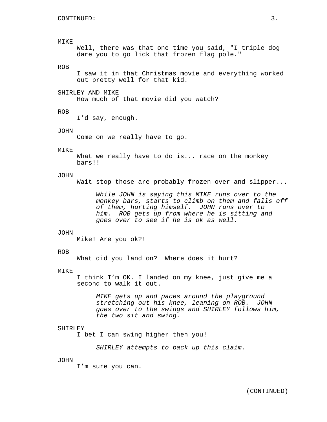# MIKE

Well, there was that one time you said, "I triple dog dare you to go lick that frozen flag pole."

# ROB

I saw it in that Christmas movie and everything worked out pretty well for that kid.

#### SHIRLEY AND MIKE

How much of that movie did you watch?

## ROB

I'd say, enough.

#### JOHN

Come on we really have to go.

#### MIKE

What we really have to do is... race on the monkey bars!!

#### JOHN

Wait stop those are probably frozen over and slipper...

While JOHN is saying this MIKE runs over to the monkey bars, starts to climb on them and falls off of them, hurting himself. JOHN runs over to him. ROB gets up from where he is sitting and goes over to see if he is ok as well.

# **JOHN**

Mike! Are you ok?!

# ROB

What did you land on? Where does it hurt?

#### MIKE

I think I'm OK. I landed on my knee, just give me a second to walk it out.

> MIKE gets up and paces around the playground stretching out his knee, leaning on ROB. JOHN goes over to the swings and SHIRLEY follows him, the two sit and swing.

# SHIRLEY

I bet I can swing higher then you!

SHIRLEY attempts to back up this claim.

## JOHN

I'm sure you can.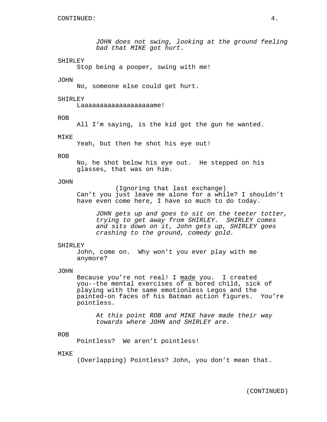JOHN does not swing, looking at the ground feeling bad that MIKE got hurt.

# SHIRLEY

Stop being a pooper, swing with me!

#### JOHN

No, someone else could get hurt.

## SHIRLEY

Laaaaaaaaaaaaaaaaaaame!

ROB

All I'm saying, is the kid got the gun he wanted.

# MIKE

Yeah, but then he shot his eye out!

#### ROB

No, he shot below his eye out. He stepped on his glasses, that was on him.

# JOHN

(Ignoring that last exchange) Can't you just leave me alone for a while? I shouldn't have even come here, I have so much to do today.

JOHN gets up and goes to sit on the teeter totter, trying to get away from SHIRLEY. SHIRLEY comes and sits down on it, John gets up, SHIRLEY goes crashing to the ground, comedy gold.

#### SHIRLEY

John, come on. Why won't you ever play with me anymore?

#### JOHN

Because you're not real! I made you. I created you--the mental exercises of a bored child, sick of playing with the same emotionless Legos and the painted-on faces of his Batman action figures. You're pointless.

At this point ROB and MIKE have made their way towards where JOHN and SHIRLEY are.

#### ROB

Pointless? We aren't pointless!

#### MIKE

(Overlapping) Pointless? John, you don't mean that.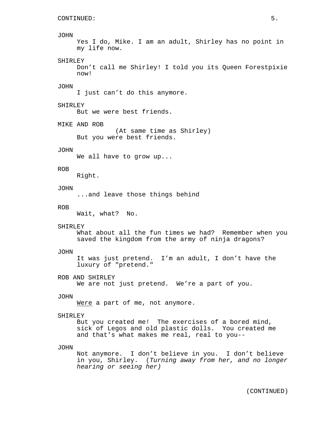#### JOHN

```
Yes I do, Mike. I am an adult, Shirley has no point in
my life now.
```
## SHIRLEY

Don't call me Shirley! I told you its Queen Forestpixie now!

# JOHN

I just can't do this anymore.

## SHIRLEY

But we were best friends.

MIKE AND ROB

(At same time as Shirley) But you were best friends.

#### JOHN

We all have to grow up...

#### ROB

Right.

# JOHN

...and leave those things behind

#### ROB

Wait, what? No.

#### SHIRLEY

What about all the fun times we had? Remember when you saved the kingdom from the army of ninja dragons?

# JOHN

It was just pretend. I'm an adult, I don't have the luxury of "pretend."

ROB AND SHIRLEY

We are not just pretend. We're a part of you.

# JOHN

Were a part of me, not anymore.

#### SHIRLEY

But you created me! The exercises of a bored mind, sick of Legos and old plastic dolls. You created me and that's what makes me real, real to you--

#### JOHN

Not anymore. I don't believe in you. I don't believe in you, Shirley. (Turning away from her, and no longer hearing or seeing her)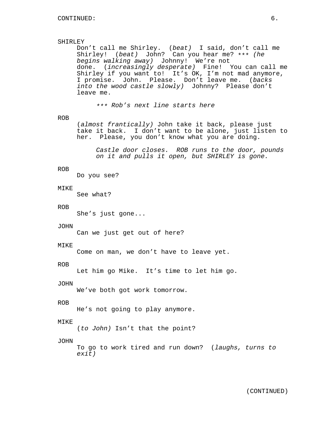# SHIRLEY

Don't call me Shirley. (beat) I said, don't call me Shirley! (beat) John? Can you hear me? \*\*\* (he begins walking away) Johnny! We're not done. (increasingly desperate) Fine! You can call me Shirley if you want to! It's OK, I'm not mad anymore, I promise. John. Please. Don't leave me. (backs into the wood castle slowly) Johnny? Please don't leave me.

\*\*\* Rob's next line starts here

# ROB

(almost frantically) John take it back, please just take it back. I don't want to be alone, just listen to her. Please, you don't know what you are doing.

Castle door closes. ROB runs to the door, pounds on it and pulls it open, but SHIRLEY is gone.

#### ROB

Do you see?

#### MIKE

See what?

## ROB

She's just gone...

## JOHN

Can we just get out of here?

#### MIKE

Come on man, we don't have to leave yet.

#### ROB

Let him go Mike. It's time to let him go.

## JOHN

We've both got work tomorrow.

# ROB

He's not going to play anymore.

# MIKE

(to John) Isn't that the point?

# JOHN

To go to work tired and run down? (laughs, turns to exit)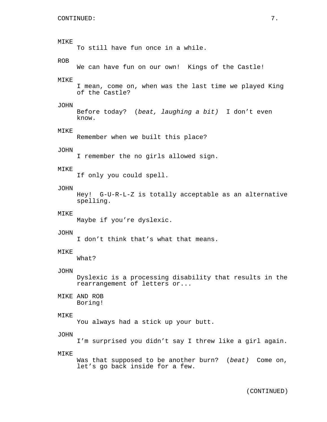# MIKE To still have fun once in a while. ROB We can have fun on our own! Kings of the Castle! MIKE I mean, come on, when was the last time we played King of the Castle? JOHN Before today? (beat, laughing a bit) I don't even know. MIKE Remember when we built this place? JOHN I remember the no girls allowed sign. MIKE If only you could spell. JOHN Hey! G-U-R-L-Z is totally acceptable as an alternative spelling. MIKE Maybe if you're dyslexic. JOHN I don't think that's what that means. MIKE What? JOHN Dyslexic is a processing disability that results in the rearrangement of letters or... MIKE AND ROB Boring! MIKE You always had a stick up your butt. JOHN I'm surprised you didn't say I threw like a girl again. MIKE Was that supposed to be another burn? (beat) Come on, let's go back inside for a few.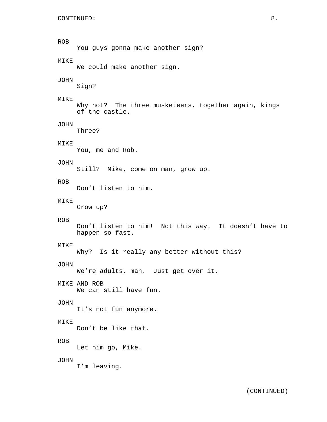# ROB

You guys gonna make another sign?

# MIKE

We could make another sign.

## JOHN

Sign?

# MIKE

Why not? The three musketeers, together again, kings of the castle.

## JOHN

Three?

# MIKE

You, me and Rob.

# JOHN

Still? Mike, come on man, grow up.

# ROB

Don't listen to him.

# MIKE

Grow up?

# ROB

Don't listen to him! Not this way. It doesn't have to happen so fast.

#### MIKE

Why? Is it really any better without this?

## JOHN

We're adults, man. Just get over it.

# MIKE AND ROB

We can still have fun.

# JOHN

It's not fun anymore.

# MIKE

Don't be like that.

# ROB

Let him go, Mike.

# JOHN

I'm leaving.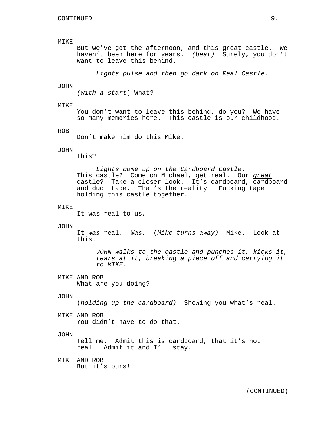# MIKE

But we've got the afternoon, and this great castle. We haven't been here for years. (beat) Surely, you don't want to leave this behind.

Lights pulse and then go dark on Real Castle.

# JOHN

(with a start) What?

## MIKE

You don't want to leave this behind, do you? We have so many memories here. This castle is our childhood.

## ROB

Don't make him do this Mike.

# JOHN

This?

Lights come up on the Cardboard Castle. This castle? Come on Michael, get real. Our great castle? Take a closer look. It's cardboard, cardboard and duct tape. That's the reality. Fucking tape holding this castle together.

# MIKE

It was real to us.

## JOHN

It was real. Was. (Mike turns away) Mike. Look at this.

JOHN walks to the castle and punches it, kicks it, tears at it, breaking a piece off and carrying it to MIKE.

MIKE AND ROB What are you doing?

# JOHN

(holding up the cardboard) Showing you what's real.

## MIKE AND ROB

You didn't have to do that.

#### JOHN

Tell me. Admit this is cardboard, that it's not real. Admit it and I'll stay.

MIKE AND ROB But it's ours!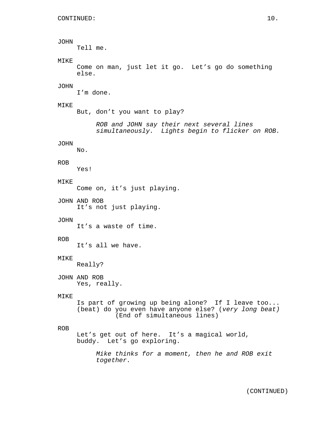# JOHN

Tell me.

# MIKE

Come on man, just let it go. Let's go do something else.

# JOHN

I'm done.

## MIKE

But, don't you want to play?

ROB and JOHN say their next several lines simultaneously. Lights begin to flicker on ROB.

# JOHN

No.

# ROB

Yes!

# MIKE

Come on, it's just playing.

JOHN AND ROB It's not just playing.

#### JOHN

It's a waste of time.

#### ROB

It's all we have.

#### MIKE

Really?

JOHN AND ROB Yes, really.

# MIKE

Is part of growing up being alone? If I leave too... (beat) do you even have anyone else? (very long beat) (End of simultaneous lines)

# ROB

Let's get out of here. It's a magical world, buddy. Let's go exploring.

> Mike thinks for a moment, then he and ROB exit together.